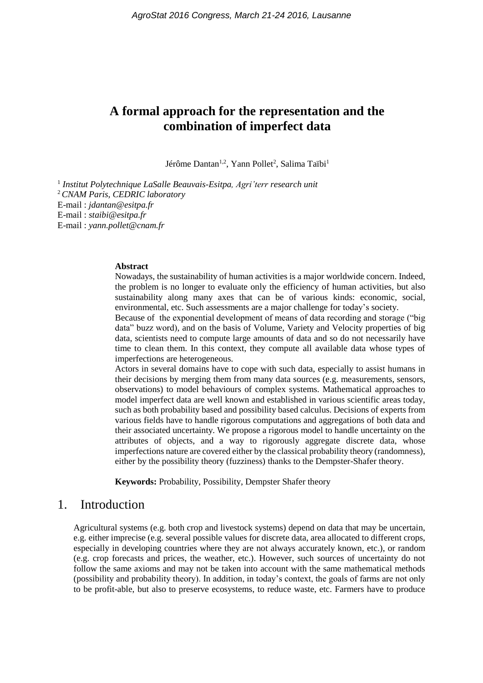# **A formal approach for the representation and the combination of imperfect data**

Jérôme Dantan<sup>1,2</sup>, Yann Pollet<sup>2</sup>, Salima Taïbi<sup>1</sup>

1 *Institut Polytechnique LaSalle Beauvais-Esitpa, Agri'terr research unit* <sup>2</sup>*CNAM Paris, CEDRIC laboratory* E-mail : *jdantan@esitpa.fr* E-mail : *staibi@esitpa.fr* E-mail : *yann.pollet@cnam.fr*

#### **Abstract**

Nowadays, the sustainability of human activities is a major worldwide concern. Indeed, the problem is no longer to evaluate only the efficiency of human activities, but also sustainability along many axes that can be of various kinds: economic, social, environmental, etc. Such assessments are a major challenge for today's society.

Because of the exponential development of means of data recording and storage ("big data" buzz word), and on the basis of Volume, Variety and Velocity properties of big data, scientists need to compute large amounts of data and so do not necessarily have time to clean them. In this context, they compute all available data whose types of imperfections are heterogeneous.

Actors in several domains have to cope with such data, especially to assist humans in their decisions by merging them from many data sources (e.g. measurements, sensors, observations) to model behaviours of complex systems. Mathematical approaches to model imperfect data are well known and established in various scientific areas today, such as both probability based and possibility based calculus. Decisions of experts from various fields have to handle rigorous computations and aggregations of both data and their associated uncertainty. We propose a rigorous model to handle uncertainty on the attributes of objects, and a way to rigorously aggregate discrete data, whose imperfections nature are covered either by the classical probability theory (randomness), either by the possibility theory (fuzziness) thanks to the Dempster-Shafer theory.

**Keywords:** Probability, Possibility, Dempster Shafer theory

# 1. Introduction

Agricultural systems (e.g. both crop and livestock systems) depend on data that may be uncertain, e.g. either imprecise (e.g. several possible values for discrete data, area allocated to different crops, especially in developing countries where they are not always accurately known, etc.), or random (e.g. crop forecasts and prices, the weather, etc.). However, such sources of uncertainty do not follow the same axioms and may not be taken into account with the same mathematical methods (possibility and probability theory). In addition, in today's context, the goals of farms are not only to be profit-able, but also to preserve ecosystems, to reduce waste, etc. Farmers have to produce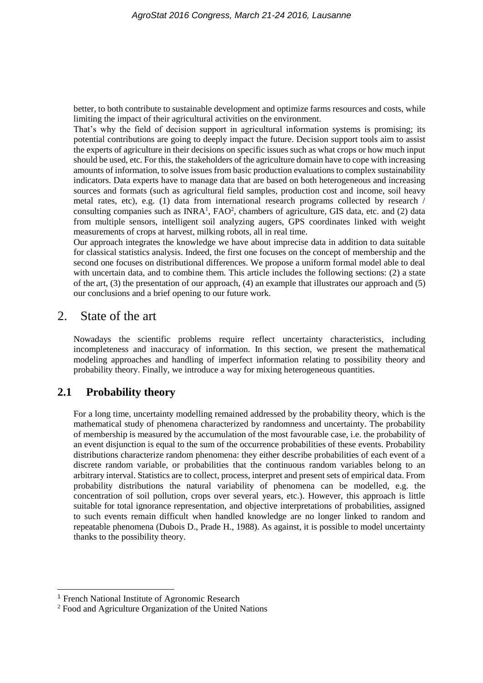better, to both contribute to sustainable development and optimize farms resources and costs, while limiting the impact of their agricultural activities on the environment.

That's why the field of decision support in agricultural information systems is promising; its potential contributions are going to deeply impact the future. Decision support tools aim to assist the experts of agriculture in their decisions on specific issues such as what crops or how much input should be used, etc. For this, the stakeholders of the agriculture domain have to cope with increasing amounts of information, to solve issues from basic production evaluations to complex sustainability indicators. Data experts have to manage data that are based on both heterogeneous and increasing sources and formats (such as agricultural field samples, production cost and income, soil heavy metal rates, etc), e.g. (1) data from international research programs collected by research / consulting companies such as INRA<sup>1</sup>, FAO<sup>2</sup>, chambers of agriculture, GIS data, etc. and (2) data from multiple sensors, intelligent soil analyzing augers, GPS coordinates linked with weight measurements of crops at harvest, milking robots, all in real time.

Our approach integrates the knowledge we have about imprecise data in addition to data suitable for classical statistics analysis. Indeed, the first one focuses on the concept of membership and the second one focuses on distributional differences. We propose a uniform formal model able to deal with uncertain data, and to combine them. This article includes the following sections: (2) a state of the art, (3) the presentation of our approach, (4) an example that illustrates our approach and (5) our conclusions and a brief opening to our future work.

# 2. State of the art

Nowadays the scientific problems require reflect uncertainty characteristics, including incompleteness and inaccuracy of information. In this section, we present the mathematical modeling approaches and handling of imperfect information relating to possibility theory and probability theory. Finally, we introduce a way for mixing heterogeneous quantities.

# **2.1 Probability theory**

For a long time, uncertainty modelling remained addressed by the probability theory, which is the mathematical study of phenomena characterized by randomness and uncertainty. The probability of membership is measured by the accumulation of the most favourable case, i.e. the probability of an event disjunction is equal to the sum of the occurrence probabilities of these events. Probability distributions characterize random phenomena: they either describe probabilities of each event of a discrete random variable, or probabilities that the continuous random variables belong to an arbitrary interval. Statistics are to collect, process, interpret and present sets of empirical data. From probability distributions the natural variability of phenomena can be modelled, e.g. the concentration of soil pollution, crops over several years, etc.). However, this approach is little suitable for total ignorance representation, and objective interpretations of probabilities, assigned to such events remain difficult when handled knowledge are no longer linked to random and repeatable phenomena (Dubois D., Prade H., 1988). As against, it is possible to model uncertainty thanks to the possibility theory.

<sup>1</sup> French National Institute of Agronomic Research

<sup>2</sup> Food and Agriculture Organization of the United Nations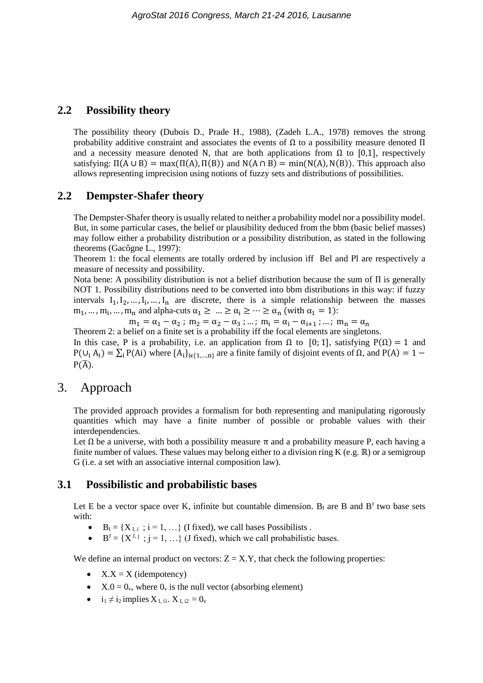#### **2.2 Possibility theory**

The possibility theory (Dubois D., Prade H., 1988), (Zadeh L.A., 1978) removes the strong probability additive constraint and associates the events of  $\Omega$  to a possibility measure denoted  $\Pi$ and a necessity measure denoted N, that are both applications from  $\Omega$  to [0,1], respectively satisfying:  $\Pi(A \cup B) = \max(\Pi(A), \Pi(B))$  and  $N(A \cap B) = \min(N(A), N(B))$ . This approach also allows representing imprecision using notions of fuzzy sets and distributions of possibilities.

### **2.2 Dempster-Shafer theory**

The Dempster-Shafer theory is usually related to neither a probability model nor a possibility model. But, in some particular cases, the belief or plausibility deduced from the bbm (basic belief masses) may follow either a probability distribution or a possibility distribution, as stated in the following theorems (Gacôgne L., 1997):

Theorem 1: the focal elements are totally ordered by inclusion iff Bel and Pl are respectively a measure of necessity and possibility.

Nota bene: A possibility distribution is not a belief distribution because the sum of Π is generally NOT 1. Possibility distributions need to be converted into bbm distributions in this way: if fuzzy intervals  $I_1, I_2, \ldots, I_i, \ldots, I_n$  are discrete, there is a simple relationship between the masses  $m_1, ..., m_i, ..., m_n$  and alpha-cuts  $\alpha_1 \geq ... \geq \alpha_i \geq ... \geq \alpha_n$  (with  $\alpha_1 = 1$ ):

 $m_1 = \alpha_1 - \alpha_2$ ;  $m_2 = \alpha_2 - \alpha_3$ ; …;  $m_i = \alpha_i - \alpha_{i+1}$ ; …;  $m_n = \alpha_n$ 

Theorem 2: a belief on a finite set is a probability iff the focal elements are singletons.

In this case, P is a probability, i.e. an application from  $\Omega$  to [0; 1], satisfying P( $\Omega$ ) = 1 and  $P(U_i A_i) = \sum_i P(A_i)$  where  $\{A_i\}_{i \in \{1,...,n\}}$  are a finite family of disjoint events of  $\Omega$ , and  $P(A) = 1 P(\overline{A})$ .

# 3. Approach

The provided approach provides a formalism for both representing and manipulating rigorously quantities which may have a finite number of possible or probable values with their interdependencies.

Let  $\Omega$  be a universe, with both a possibility measure  $\pi$  and a probability measure P, each having a finite number of values. These values may belong either to a division ring K (e.g. ℝ) or a semigroup G (i.e. a set with an associative internal composition law).

#### **3.1 Possibilistic and probabilistic bases**

Let E be a vector space over K, infinite but countable dimension.  $B<sub>I</sub>$  are B and  $B<sup>J</sup>$  two base sets with:

- $B<sub>I</sub> = {X<sub>I,i</sub>$ ;  $i = 1, ...}$  (I fixed), we call bases Possibilists.
- $\bullet$   $B^{J} = \{X^{J,j}$ ;  $j = 1, ...\}$  (J fixed), which we call probabilistic bases.

We define an internal product on vectors:  $Z = X.Y$ , that check the following properties:

- $\bullet$   $X.X = X$  (idempotency)
- $\bullet$   $X.0 = 0_v$ , where  $0_v$  is the null vector (absorbing element)
- $\bullet$  i<sub>1</sub>  $\neq$  i<sub>2</sub> implies  $X_{\text{I, i1}}$ .  $X_{\text{I, i2}} = 0_{\text{v}}$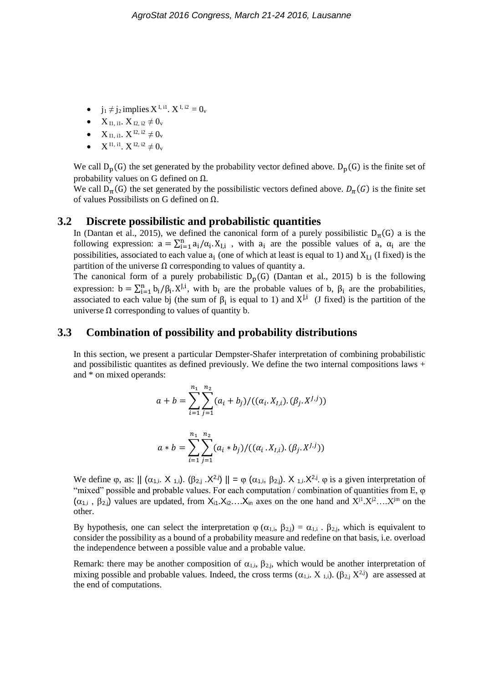- $j_1 \neq j_2$  implies  $X^{I, i1}$ .  $X^{I, i2} = 0$
- $X_{\text{II, ii}}$ ,  $X_{\text{I2, i2}} \neq 0$ <sub>v</sub>
- $X_{I1, i1}$ .  $X^{I2, i2} \neq 0$
- $X^{I1, i1}$ ,  $X^{I2, i2} \neq 0$

We call  $D_p(G)$  the set generated by the probability vector defined above.  $D_p(G)$  is the finite set of probability values on G defined on  $Ω$ .

We call  $D_{\pi}(G)$  the set generated by the possibilistic vectors defined above.  $D_{\pi}(G)$  is the finite set of values Possibilists on G defined on Ω.

#### **3.2 Discrete possibilistic and probabilistic quantities**

In (Dantan et al., 2015), we defined the canonical form of a purely possibilistic  $D_{\pi}(G)$  a is the following expression:  $a = \sum_{i=1}^{n} a_i/\alpha_i$ .  $X_{I,i}$ , with  $a_i$  are the possible values of a,  $\alpha_i$  are the possibilities, associated to each value  $a_i$  (one of which at least is equal to 1) and  $X_{I,i}$  (I fixed) is the partition of the universe  $\Omega$  corresponding to values of quantity a.

The canonical form of a purely probabilistic  $D_p(G)$  (Dantan et al., 2015) b is the following expression:  $b = \sum_{i=1}^{n} b_i / \beta_i$ . X<sup>J,i</sup>, with  $b_i$  are the probable values of b,  $\beta_i$  are the probabilities, associated to each value bj (the sum of  $\beta_i$  is equal to 1) and  $X^{J,i}$  (J fixed) is the partition of the universe  $\Omega$  corresponding to values of quantity b.

#### **3.3 Combination of possibility and probability distributions**

In this section, we present a particular Dempster-Shafer interpretation of combining probabilistic and possibilistic quantites as defined previously. We define the two internal compositions laws + and \* on mixed operands:

$$
a + b = \sum_{i=1}^{n_1} \sum_{j=1}^{n_2} (a_i + b_j) / ((\alpha_i. X_{I,i}).(\beta_j. X^{J,j}))
$$
  

$$
a * b = \sum_{i=1}^{n_1} \sum_{j=1}^{n_2} (a_i * b_j) / ((\alpha_i. X_{I,i}).(\beta_j. X^{J,j}))
$$

We define  $\varphi$ , as:  $||(\alpha_{1,i} \cdot X_{1,i}) \cdot (\beta_{2,j} \cdot X^{2,j})|| = \varphi(\alpha_{1,i}, \beta_{2,i}) \cdot X_{1,i} \cdot X^{2,j}$ .  $\varphi$  is a given interpretation of "mixed" possible and probable values. For each computation  $/$  combination of quantities from E,  $\varphi$  $(\alpha_{1,i}, \beta_{2,i})$  values are updated, from  $X_{i1}.X_{i2}...X_{in}$  axes on the one hand and  $X^{j1}.X^{j2}...X^{jm}$  on the other.

By hypothesis, one can select the interpretation  $\varphi$  ( $\alpha_{1,i}$ ,  $\beta_{2,i}$ ) =  $\alpha_{1,i}$ .  $\beta_{2,i}$ , which is equivalent to consider the possibility as a bound of a probability measure and redefine on that basis, i.e. overload the independence between a possible value and a probable value.

Remark: there may be another composition of  $\alpha_{1,i}$ ,  $\beta_{2,i}$ , which would be another interpretation of mixing possible and probable values. Indeed, the cross terms  $(\alpha_{1,i}, X_{1,i})$ .  $(\beta_{2,i} X^{2,j})$  are assessed at the end of computations.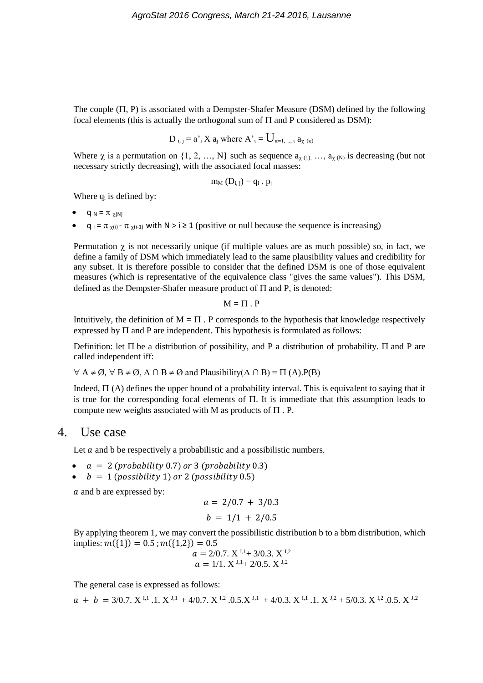The couple  $(\Pi, P)$  is associated with a Dempster-Shafer Measure (DSM) defined by the following focal elements (this is actually the orthogonal sum of  $\Pi$  and P considered as DSM):

D<sub>i,j</sub> = 
$$
a
$$
<sup>'</sup><sub>i</sub> X  $a_j$  where  $A$ <sup>'</sup><sub>t</sub> =  $U_{\kappa=1,\dots,\tau}$   $a_{\chi(\kappa)}$ 

Where  $\chi$  is a permutation on  $\{1, 2, ..., N\}$  such as sequence  $a_{\chi(1)}, ..., a_{\chi(N)}$  is decreasing (but not necessary strictly decreasing), with the associated focal masses:

$$
m_M\left(D_{i,\,j}\right)=q_i\ .\ p_j
$$

Where  $q_i$  is defined by:

- $q_N = \pi_{\gamma(N)}$
- q  $_i = \pi_{\chi(i)}$   $\pi_{\chi(i-1)}$  with N > i ≥ 1 (positive or null because the sequence is increasing)

Permutation  $\gamma$  is not necessarily unique (if multiple values are as much possible) so, in fact, we define a family of DSM which immediately lead to the same plausibility values and credibility for any subset. It is therefore possible to consider that the defined DSM is one of those equivalent measures (which is representative of the equivalence class "gives the same values"). This DSM, defined as the Dempster-Shafer measure product of  $\Pi$  and P, is denoted:

$$
M=\Pi P .
$$

Intuitively, the definition of  $M = \Pi$ . P corresponds to the hypothesis that knowledge respectively expressed by  $\Pi$  and P are independent. This hypothesis is formulated as follows:

Definition: let  $\Pi$  be a distribution of possibility, and P a distribution of probability.  $\Pi$  and P are called independent iff:

 $\forall A \neq \emptyset$ ,  $\forall B \neq \emptyset$ ,  $A \cap B \neq \emptyset$  and Plausibility( $A \cap B$ ) =  $\Pi$  (A). P(B)

Indeed,  $\Pi$  (A) defines the upper bound of a probability interval. This is equivalent to saying that it is true for the corresponding focal elements of  $\Pi$ . It is immediate that this assumption leads to compute new weights associated with M as products of  $\Pi$ . P.

## 4. Use case

Let  $\alpha$  and b be respectively a probabilistic and a possibilistic numbers.

- $a = 2$  (probability 0.7) or 3 (probability 0.3)
- $\bullet$  b = 1 (possibility 1) or 2 (possibility 0.5)

a and b are expressed by:

$$
a = 2/0.7 + 3/0.3
$$
  

$$
b = 1/1 + 2/0.5
$$

By applying theorem 1, we may convert the possibilistic distribution b to a bbm distribution, which implies:  $m({1}) = 0.5$ ;  $m({1,2}) = 0.5$ 

$$
a = 2/0.7. X^{1,1} + 3/0.3. X^{1,2}
$$
  

$$
a = 1/1. X^{J,1} + 2/0.5. X^{J,2}
$$

The general case is expressed as follows:

 $a + b = 3/0.7$ .  $X^{1,1}$ .  $1$ .  $X^{3,1}$  + 4/0.7.  $X^{1,2}$ .  $0.5$ .  $X^{3,1}$  + 4/0.3.  $X^{1,1}$ .  $1$ .  $X^{3,2}$  + 5/0.3.  $X^{1,2}$ . 0.5.  $X^{3,2}$